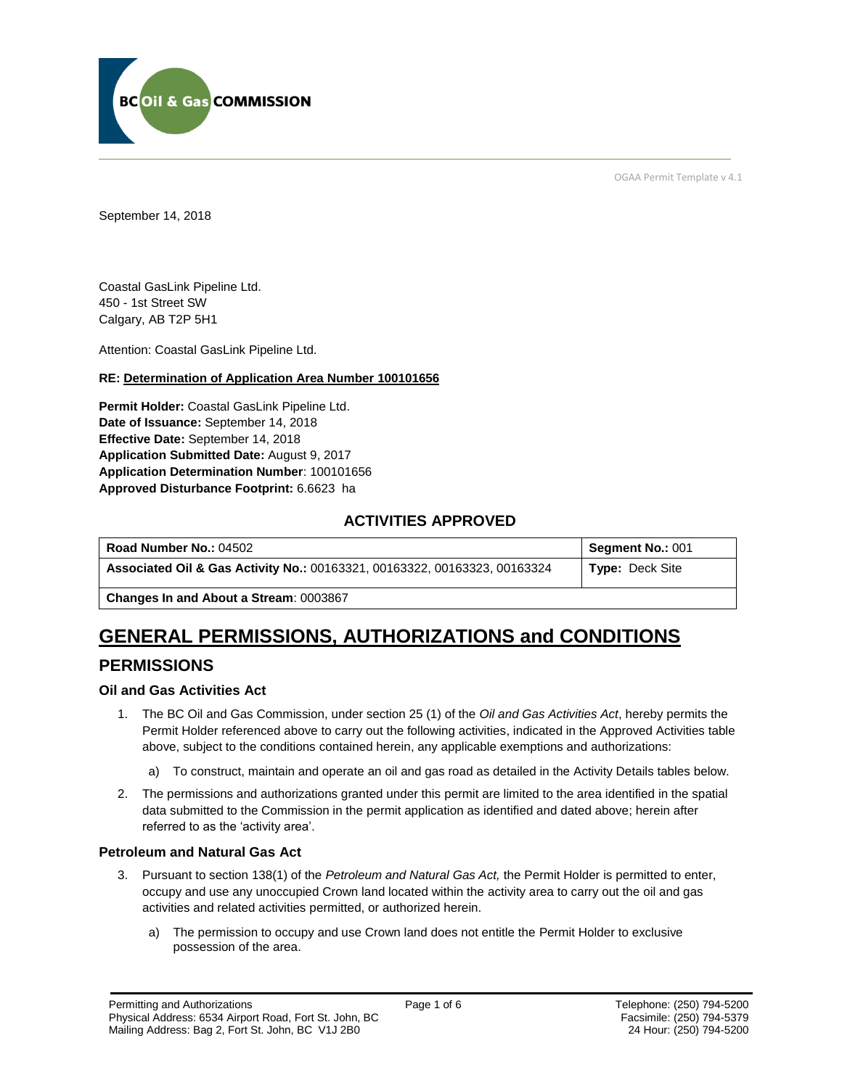

OGAA Permit Template v 4.1

September 14, 2018

Coastal GasLink Pipeline Ltd. 450 - 1st Street SW Calgary, AB T2P 5H1

Attention: Coastal GasLink Pipeline Ltd.

#### **RE: Determination of Application Area Number 100101656**

**Permit Holder:** Coastal GasLink Pipeline Ltd. **Date of Issuance:** September 14, 2018 **Effective Date:** September 14, 2018 **Application Submitted Date:** August 9, 2017 **Application Determination Number**: 100101656 **Approved Disturbance Footprint:** 6.6623 ha

## **ACTIVITIES APPROVED**

| Road Number No.: 04502                                                    | Segment No.: 001       |
|---------------------------------------------------------------------------|------------------------|
| Associated Oil & Gas Activity No.: 00163321, 00163322, 00163323, 00163324 | <b>Type: Deck Site</b> |

**Changes In and About a Stream**: 0003867

# **GENERAL PERMISSIONS, AUTHORIZATIONS and CONDITIONS**

## **PERMISSIONS**

#### **Oil and Gas Activities Act**

- 1. The BC Oil and Gas Commission, under section 25 (1) of the *Oil and Gas Activities Act*, hereby permits the Permit Holder referenced above to carry out the following activities, indicated in the Approved Activities table above, subject to the conditions contained herein, any applicable exemptions and authorizations:
	- a) To construct, maintain and operate an oil and gas road as detailed in the Activity Details tables below.
- 2. The permissions and authorizations granted under this permit are limited to the area identified in the spatial data submitted to the Commission in the permit application as identified and dated above; herein after referred to as the 'activity area'.

#### **Petroleum and Natural Gas Act**

- 3. Pursuant to section 138(1) of the *Petroleum and Natural Gas Act,* the Permit Holder is permitted to enter, occupy and use any unoccupied Crown land located within the activity area to carry out the oil and gas activities and related activities permitted, or authorized herein.
	- a) The permission to occupy and use Crown land does not entitle the Permit Holder to exclusive possession of the area.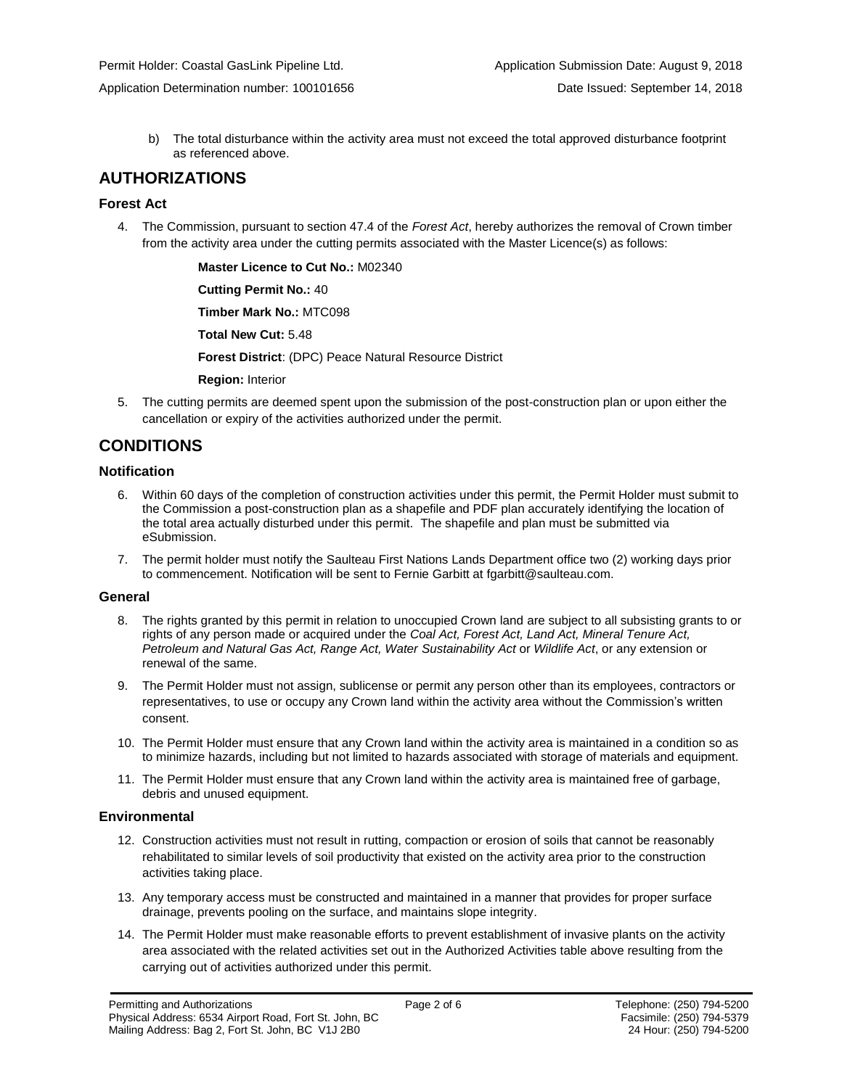Application Determination number: 100101656 **Date Issued: September 14, 2018** Date Issued: September 14, 2018

b) The total disturbance within the activity area must not exceed the total approved disturbance footprint as referenced above.

### **AUTHORIZATIONS**

#### **Forest Act**

4. The Commission, pursuant to section 47.4 of the *Forest Act*, hereby authorizes the removal of Crown timber from the activity area under the cutting permits associated with the Master Licence(s) as follows:

**Master Licence to Cut No.:** M02340

**Cutting Permit No.:** 40

**Timber Mark No.:** MTC098

**Total New Cut:** 5.48

**Forest District**: (DPC) Peace Natural Resource District

**Region:** Interior

5. The cutting permits are deemed spent upon the submission of the post-construction plan or upon either the cancellation or expiry of the activities authorized under the permit.

## **CONDITIONS**

#### **Notification**

- 6. Within 60 days of the completion of construction activities under this permit, the Permit Holder must submit to the Commission a post-construction plan as a shapefile and PDF plan accurately identifying the location of the total area actually disturbed under this permit. The shapefile and plan must be submitted via eSubmission.
- 7. The permit holder must notify the Saulteau First Nations Lands Department office two (2) working days prior to commencement. Notification will be sent to Fernie Garbitt at fgarbitt@saulteau.com.

#### **General**

- 8. The rights granted by this permit in relation to unoccupied Crown land are subject to all subsisting grants to or rights of any person made or acquired under the *Coal Act, Forest Act, Land Act, Mineral Tenure Act, Petroleum and Natural Gas Act, Range Act, Water Sustainability Act* or *Wildlife Act*, or any extension or renewal of the same.
- 9. The Permit Holder must not assign, sublicense or permit any person other than its employees, contractors or representatives, to use or occupy any Crown land within the activity area without the Commission's written consent.
- 10. The Permit Holder must ensure that any Crown land within the activity area is maintained in a condition so as to minimize hazards, including but not limited to hazards associated with storage of materials and equipment.
- 11. The Permit Holder must ensure that any Crown land within the activity area is maintained free of garbage, debris and unused equipment.

#### **Environmental**

- 12. Construction activities must not result in rutting, compaction or erosion of soils that cannot be reasonably rehabilitated to similar levels of soil productivity that existed on the activity area prior to the construction activities taking place.
- 13. Any temporary access must be constructed and maintained in a manner that provides for proper surface drainage, prevents pooling on the surface, and maintains slope integrity.
- 14. The Permit Holder must make reasonable efforts to prevent establishment of invasive plants on the activity area associated with the related activities set out in the Authorized Activities table above resulting from the carrying out of activities authorized under this permit.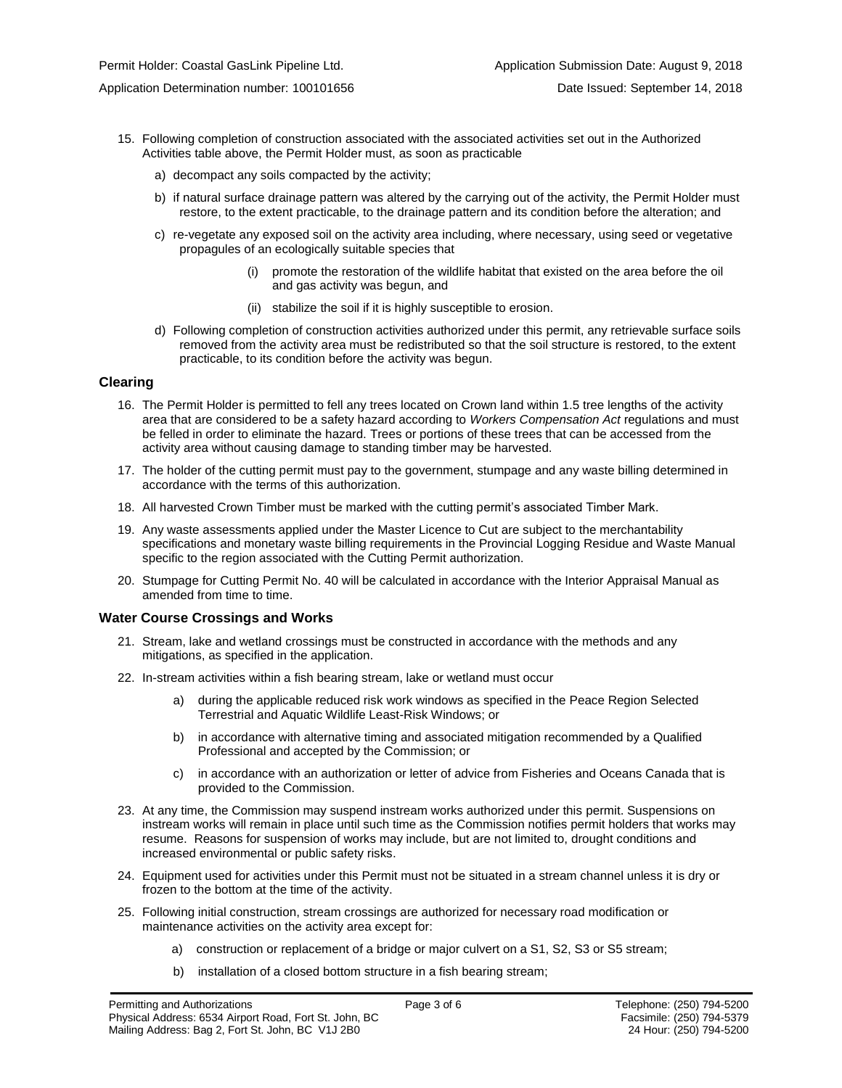- 15. Following completion of construction associated with the associated activities set out in the Authorized Activities table above, the Permit Holder must, as soon as practicable
	- a) decompact any soils compacted by the activity;
	- b) if natural surface drainage pattern was altered by the carrying out of the activity, the Permit Holder must restore, to the extent practicable, to the drainage pattern and its condition before the alteration; and
	- c) re-vegetate any exposed soil on the activity area including, where necessary, using seed or vegetative propagules of an ecologically suitable species that
		- (i) promote the restoration of the wildlife habitat that existed on the area before the oil and gas activity was begun, and
		- (ii) stabilize the soil if it is highly susceptible to erosion.
	- d) Following completion of construction activities authorized under this permit, any retrievable surface soils removed from the activity area must be redistributed so that the soil structure is restored, to the extent practicable, to its condition before the activity was begun.

#### **Clearing**

- 16. The Permit Holder is permitted to fell any trees located on Crown land within 1.5 tree lengths of the activity area that are considered to be a safety hazard according to *Workers Compensation Act* regulations and must be felled in order to eliminate the hazard. Trees or portions of these trees that can be accessed from the activity area without causing damage to standing timber may be harvested.
- 17. The holder of the cutting permit must pay to the government, stumpage and any waste billing determined in accordance with the terms of this authorization.
- 18. All harvested Crown Timber must be marked with the cutting permit's associated Timber Mark.
- 19. Any waste assessments applied under the Master Licence to Cut are subject to the merchantability specifications and monetary waste billing requirements in the Provincial Logging Residue and Waste Manual specific to the region associated with the Cutting Permit authorization.
- 20. Stumpage for Cutting Permit No. 40 will be calculated in accordance with the Interior Appraisal Manual as amended from time to time.

#### **Water Course Crossings and Works**

- 21. Stream, lake and wetland crossings must be constructed in accordance with the methods and any mitigations, as specified in the application.
- 22. In-stream activities within a fish bearing stream, lake or wetland must occur
	- a) during the applicable reduced risk work windows as specified in the Peace Region Selected Terrestrial and Aquatic Wildlife Least-Risk Windows; or
	- b) in accordance with alternative timing and associated mitigation recommended by a Qualified Professional and accepted by the Commission; or
	- c) in accordance with an authorization or letter of advice from Fisheries and Oceans Canada that is provided to the Commission.
- 23. At any time, the Commission may suspend instream works authorized under this permit. Suspensions on instream works will remain in place until such time as the Commission notifies permit holders that works may resume. Reasons for suspension of works may include, but are not limited to, drought conditions and increased environmental or public safety risks.
- 24. Equipment used for activities under this Permit must not be situated in a stream channel unless it is dry or frozen to the bottom at the time of the activity.
- 25. Following initial construction, stream crossings are authorized for necessary road modification or maintenance activities on the activity area except for:
	- a) construction or replacement of a bridge or major culvert on a S1, S2, S3 or S5 stream;
	- b) installation of a closed bottom structure in a fish bearing stream;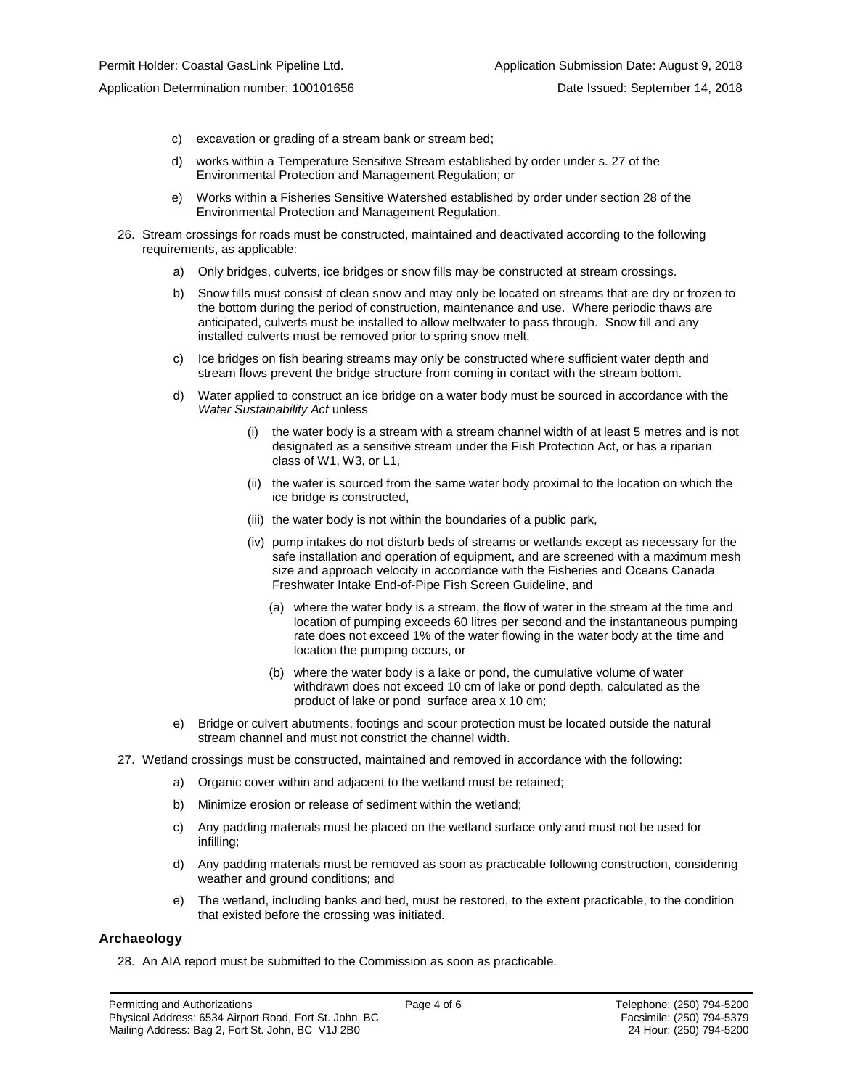Application Determination number: 100101656 Date Issued: September 14, 2018

- c) excavation or grading of a stream bank or stream bed;
- d) works within a Temperature Sensitive Stream established by order under s. 27 of the Environmental Protection and Management Regulation; or
- e) Works within a Fisheries Sensitive Watershed established by order under section 28 of the Environmental Protection and Management Regulation.
- 26. Stream crossings for roads must be constructed, maintained and deactivated according to the following requirements, as applicable:
	- a) Only bridges, culverts, ice bridges or snow fills may be constructed at stream crossings.
	- b) Snow fills must consist of clean snow and may only be located on streams that are dry or frozen to the bottom during the period of construction, maintenance and use. Where periodic thaws are anticipated, culverts must be installed to allow meltwater to pass through. Snow fill and any installed culverts must be removed prior to spring snow melt.
	- c) Ice bridges on fish bearing streams may only be constructed where sufficient water depth and stream flows prevent the bridge structure from coming in contact with the stream bottom.
	- d) Water applied to construct an ice bridge on a water body must be sourced in accordance with the *Water Sustainability Act* unless
		- (i) the water body is a stream with a stream channel width of at least 5 metres and is not designated as a sensitive stream under the Fish Protection Act, or has a riparian class of W1, W3, or L1,
		- (ii) the water is sourced from the same water body proximal to the location on which the ice bridge is constructed,
		- (iii) the water body is not within the boundaries of a public park,
		- (iv) pump intakes do not disturb beds of streams or wetlands except as necessary for the safe installation and operation of equipment, and are screened with a maximum mesh size and approach velocity in accordance with the Fisheries and Oceans Canada Freshwater Intake End-of-Pipe Fish Screen Guideline, and
			- (a) where the water body is a stream, the flow of water in the stream at the time and location of pumping exceeds 60 litres per second and the instantaneous pumping rate does not exceed 1% of the water flowing in the water body at the time and location the pumping occurs, or
			- (b) where the water body is a lake or pond, the cumulative volume of water withdrawn does not exceed 10 cm of lake or pond depth, calculated as the product of lake or pond surface area x 10 cm;
	- e) Bridge or culvert abutments, footings and scour protection must be located outside the natural stream channel and must not constrict the channel width.
- 27. Wetland crossings must be constructed, maintained and removed in accordance with the following:
	- a) Organic cover within and adjacent to the wetland must be retained;
	- b) Minimize erosion or release of sediment within the wetland;
	- c) Any padding materials must be placed on the wetland surface only and must not be used for infilling;
	- d) Any padding materials must be removed as soon as practicable following construction, considering weather and ground conditions; and
	- e) The wetland, including banks and bed, must be restored, to the extent practicable, to the condition that existed before the crossing was initiated.

#### **Archaeology**

28. An AIA report must be submitted to the Commission as soon as practicable.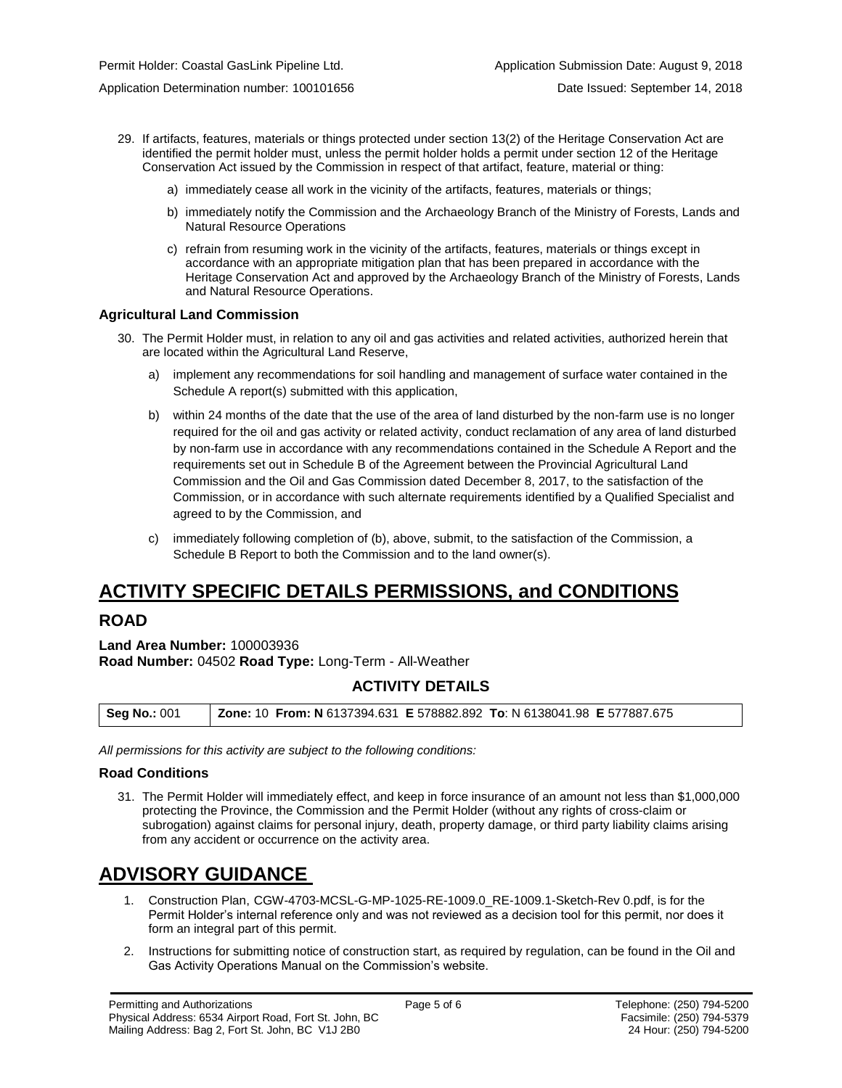Application Determination number: 100101656 Date Issued: September 14, 2018

- 29. If artifacts, features, materials or things protected under section 13(2) of the Heritage Conservation Act are identified the permit holder must, unless the permit holder holds a permit under section 12 of the Heritage Conservation Act issued by the Commission in respect of that artifact, feature, material or thing:
	- a) immediately cease all work in the vicinity of the artifacts, features, materials or things;
	- b) immediately notify the Commission and the Archaeology Branch of the Ministry of Forests, Lands and Natural Resource Operations
	- c) refrain from resuming work in the vicinity of the artifacts, features, materials or things except in accordance with an appropriate mitigation plan that has been prepared in accordance with the Heritage Conservation Act and approved by the Archaeology Branch of the Ministry of Forests, Lands and Natural Resource Operations.

#### **Agricultural Land Commission**

- 30. The Permit Holder must, in relation to any oil and gas activities and related activities, authorized herein that are located within the Agricultural Land Reserve,
	- a) implement any recommendations for soil handling and management of surface water contained in the Schedule A report(s) submitted with this application,
	- b) within 24 months of the date that the use of the area of land disturbed by the non-farm use is no longer required for the oil and gas activity or related activity, conduct reclamation of any area of land disturbed by non-farm use in accordance with any recommendations contained in the Schedule A Report and the requirements set out in Schedule B of the Agreement between the Provincial Agricultural Land Commission and the Oil and Gas Commission dated December 8, 2017, to the satisfaction of the Commission, or in accordance with such alternate requirements identified by a Qualified Specialist and agreed to by the Commission, and
	- c) immediately following completion of (b), above, submit, to the satisfaction of the Commission, a Schedule B Report to both the Commission and to the land owner(s).

# **ACTIVITY SPECIFIC DETAILS PERMISSIONS, and CONDITIONS**

### **ROAD**

**Land Area Number:** 100003936 **Road Number:** 04502 **Road Type:** Long-Term - All-Weather

# **ACTIVITY DETAILS**

| <b>Seg No.: 001</b> | <b>Zone: 10 From: N</b> 6137394.631 <b>E</b> 578882.892 <b>To:</b> N 6138041.98 <b>E</b> 577887.675 |
|---------------------|-----------------------------------------------------------------------------------------------------|
|---------------------|-----------------------------------------------------------------------------------------------------|

*All permissions for this activity are subject to the following conditions:*

#### **Road Conditions**

31. The Permit Holder will immediately effect, and keep in force insurance of an amount not less than \$1,000,000 protecting the Province, the Commission and the Permit Holder (without any rights of cross-claim or subrogation) against claims for personal injury, death, property damage, or third party liability claims arising from any accident or occurrence on the activity area.

# **ADVISORY GUIDANCE**

- 1. Construction Plan, CGW-4703-MCSL-G-MP-1025-RE-1009.0\_RE-1009.1-Sketch-Rev 0.pdf, is for the Permit Holder's internal reference only and was not reviewed as a decision tool for this permit, nor does it form an integral part of this permit.
- 2. Instructions for submitting notice of construction start, as required by regulation, can be found in the Oil and Gas Activity Operations Manual on the Commission's website.